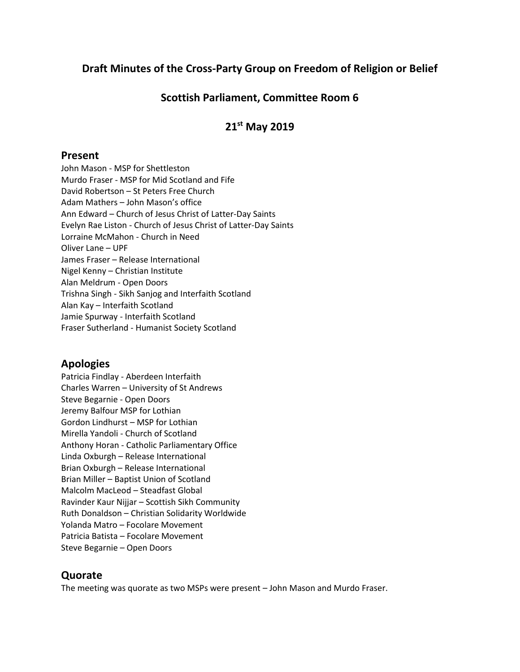# **Draft Minutes of the Cross-Party Group on Freedom of Religion or Belief**

# **Scottish Parliament, Committee Room 6**

# **21st May 2019**

#### **Present**

John Mason - MSP for Shettleston Murdo Fraser - MSP for Mid Scotland and Fife David Robertson – St Peters Free Church Adam Mathers – John Mason's office Ann Edward – Church of Jesus Christ of Latter-Day Saints Evelyn Rae Liston - Church of Jesus Christ of Latter-Day Saints Lorraine McMahon - Church in Need Oliver Lane – UPF James Fraser – Release International Nigel Kenny – Christian Institute Alan Meldrum - Open Doors Trishna Singh - Sikh Sanjog and Interfaith Scotland Alan Kay – Interfaith Scotland Jamie Spurway - Interfaith Scotland Fraser Sutherland - Humanist Society Scotland

## **Apologies**

Patricia Findlay - Aberdeen Interfaith Charles Warren – University of St Andrews Steve Begarnie - Open Doors Jeremy Balfour MSP for Lothian Gordon Lindhurst – MSP for Lothian Mirella Yandoli - Church of Scotland Anthony Horan - Catholic Parliamentary Office Linda Oxburgh – Release International Brian Oxburgh – Release International Brian Miller – Baptist Union of Scotland Malcolm MacLeod – Steadfast Global Ravinder Kaur Nijjar – Scottish Sikh Community Ruth Donaldson – Christian Solidarity Worldwide Yolanda Matro – Focolare Movement Patricia Batista – Focolare Movement Steve Begarnie – Open Doors

## **Quorate**

The meeting was quorate as two MSPs were present – John Mason and Murdo Fraser.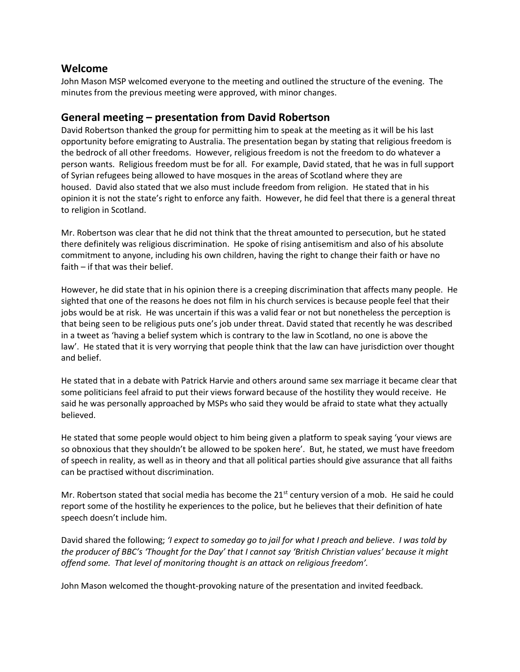### **Welcome**

John Mason MSP welcomed everyone to the meeting and outlined the structure of the evening. The minutes from the previous meeting were approved, with minor changes.

## **General meeting – presentation from David Robertson**

David Robertson thanked the group for permitting him to speak at the meeting as it will be his last opportunity before emigrating to Australia. The presentation began by stating that religious freedom is the bedrock of all other freedoms. However, religious freedom is not the freedom to do whatever a person wants. Religious freedom must be for all. For example, David stated, that he was in full support of Syrian refugees being allowed to have mosques in the areas of Scotland where they are housed. David also stated that we also must include freedom from religion. He stated that in his opinion it is not the state's right to enforce any faith. However, he did feel that there is a general threat to religion in Scotland.

Mr. Robertson was clear that he did not think that the threat amounted to persecution, but he stated there definitely was religious discrimination. He spoke of rising antisemitism and also of his absolute commitment to anyone, including his own children, having the right to change their faith or have no faith – if that was their belief.

However, he did state that in his opinion there is a creeping discrimination that affects many people. He sighted that one of the reasons he does not film in his church services is because people feel that their jobs would be at risk. He was uncertain if this was a valid fear or not but nonetheless the perception is that being seen to be religious puts one's job under threat. David stated that recently he was described in a tweet as 'having a belief system which is contrary to the law in Scotland, no one is above the law'. He stated that it is very worrying that people think that the law can have jurisdiction over thought and belief.

He stated that in a debate with Patrick Harvie and others around same sex marriage it became clear that some politicians feel afraid to put their views forward because of the hostility they would receive. He said he was personally approached by MSPs who said they would be afraid to state what they actually believed.

He stated that some people would object to him being given a platform to speak saying 'your views are so obnoxious that they shouldn't be allowed to be spoken here'. But, he stated, we must have freedom of speech in reality, as well as in theory and that all political parties should give assurance that all faiths can be practised without discrimination.

Mr. Robertson stated that social media has become the  $21<sup>st</sup>$  century version of a mob. He said he could report some of the hostility he experiences to the police, but he believes that their definition of hate speech doesn't include him.

David shared the following; *'I expect to someday go to jail for what I preach and believe*. *I was told by the producer of BBC's 'Thought for the Day' that I cannot say 'British Christian values' because it might offend some. That level of monitoring thought is an attack on religious freedom'.* 

John Mason welcomed the thought-provoking nature of the presentation and invited feedback.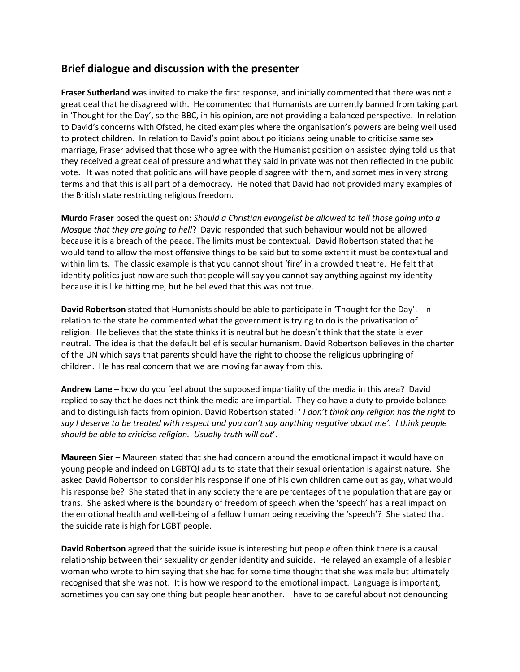### **Brief dialogue and discussion with the presenter**

**Fraser Sutherland** was invited to make the first response, and initially commented that there was not a great deal that he disagreed with. He commented that Humanists are currently banned from taking part in 'Thought for the Day', so the BBC, in his opinion, are not providing a balanced perspective. In relation to David's concerns with Ofsted, he cited examples where the organisation's powers are being well used to protect children. In relation to David's point about politicians being unable to criticise same sex marriage, Fraser advised that those who agree with the Humanist position on assisted dying told us that they received a great deal of pressure and what they said in private was not then reflected in the public vote. It was noted that politicians will have people disagree with them, and sometimes in very strong terms and that this is all part of a democracy. He noted that David had not provided many examples of the British state restricting religious freedom.

**Murdo Fraser** posed the question: *Should a Christian evangelist be allowed to tell those going into a Mosque that they are going to hell*? David responded that such behaviour would not be allowed because it is a breach of the peace. The limits must be contextual. David Robertson stated that he would tend to allow the most offensive things to be said but to some extent it must be contextual and within limits. The classic example is that you cannot shout 'fire' in a crowded theatre. He felt that identity politics just now are such that people will say you cannot say anything against my identity because it is like hitting me, but he believed that this was not true.

**David Robertson** stated that Humanists should be able to participate in 'Thought for the Day'. In relation to the state he commented what the government is trying to do is the privatisation of religion. He believes that the state thinks it is neutral but he doesn't think that the state is ever neutral. The idea is that the default belief is secular humanism. David Robertson believes in the charter of the UN which says that parents should have the right to choose the religious upbringing of children. He has real concern that we are moving far away from this.

**Andrew Lane** – how do you feel about the supposed impartiality of the media in this area? David replied to say that he does not think the media are impartial. They do have a duty to provide balance and to distinguish facts from opinion. David Robertson stated: ' *I don't think any religion has the right to say I deserve to be treated with respect and you can't say anything negative about me'. I think people should be able to criticise religion. Usually truth will out*'.

**Maureen Sier** – Maureen stated that she had concern around the emotional impact it would have on young people and indeed on LGBTQI adults to state that their sexual orientation is against nature. She asked David Robertson to consider his response if one of his own children came out as gay, what would his response be? She stated that in any society there are percentages of the population that are gay or trans. She asked where is the boundary of freedom of speech when the 'speech' has a real impact on the emotional health and well-being of a fellow human being receiving the 'speech'? She stated that the suicide rate is high for LGBT people.

**David Robertson** agreed that the suicide issue is interesting but people often think there is a causal relationship between their sexuality or gender identity and suicide. He relayed an example of a lesbian woman who wrote to him saying that she had for some time thought that she was male but ultimately recognised that she was not. It is how we respond to the emotional impact. Language is important, sometimes you can say one thing but people hear another. I have to be careful about not denouncing